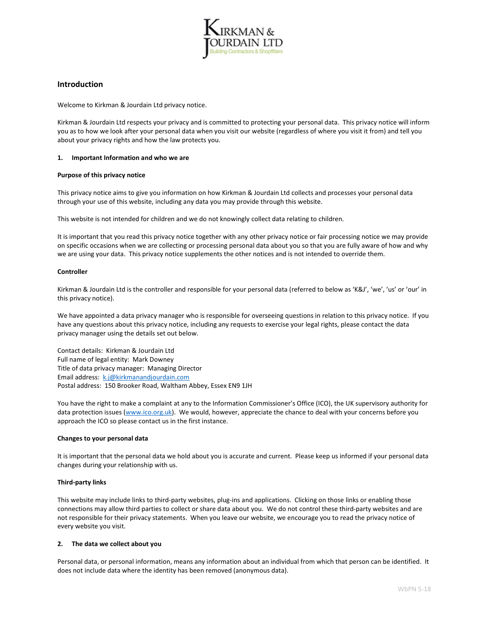

# Introduction

Welcome to Kirkman & Jourdain Ltd privacy notice.

Kirkman & Jourdain Ltd respects your privacy and is committed to protecting your personal data. This privacy notice will inform you as to how we look after your personal data when you visit our website (regardless of where you visit it from) and tell you about your privacy rights and how the law protects you.

#### 1. Important Information and who we are

## Purpose of this privacy notice

This privacy notice aims to give you information on how Kirkman & Jourdain Ltd collects and processes your personal data through your use of this website, including any data you may provide through this website.

This website is not intended for children and we do not knowingly collect data relating to children.

It is important that you read this privacy notice together with any other privacy notice or fair processing notice we may provide on specific occasions when we are collecting or processing personal data about you so that you are fully aware of how and why we are using your data. This privacy notice supplements the other notices and is not intended to override them.

#### **Controller**

Kirkman & Jourdain Ltd is the controller and responsible for your personal data (referred to below as 'K&J', 'we', 'us' or 'our' in this privacy notice).

We have appointed a data privacy manager who is responsible for overseeing questions in relation to this privacy notice. If you have any questions about this privacy notice, including any requests to exercise your legal rights, please contact the data privacy manager using the details set out below.

Contact details: Kirkman & Jourdain Ltd Full name of legal entity: Mark Downey Title of data privacy manager: Managing Director Email address: k.j@kirkmanandjourdain.com Postal address: 150 Brooker Road, Waltham Abbey, Essex EN9 1JH

You have the right to make a complaint at any to the Information Commissioner's Office (ICO), the UK supervisory authority for data protection issues (www.ico.org.uk). We would, however, appreciate the chance to deal with your concerns before you approach the ICO so please contact us in the first instance.

#### Changes to your personal data

It is important that the personal data we hold about you is accurate and current. Please keep us informed if your personal data changes during your relationship with us.

## Third-party links

This website may include links to third-party websites, plug-ins and applications. Clicking on those links or enabling those connections may allow third parties to collect or share data about you. We do not control these third-party websites and are not responsible for their privacy statements. When you leave our website, we encourage you to read the privacy notice of every website you visit.

#### 2. The data we collect about you

Personal data, or personal information, means any information about an individual from which that person can be identified. It does not include data where the identity has been removed (anonymous data).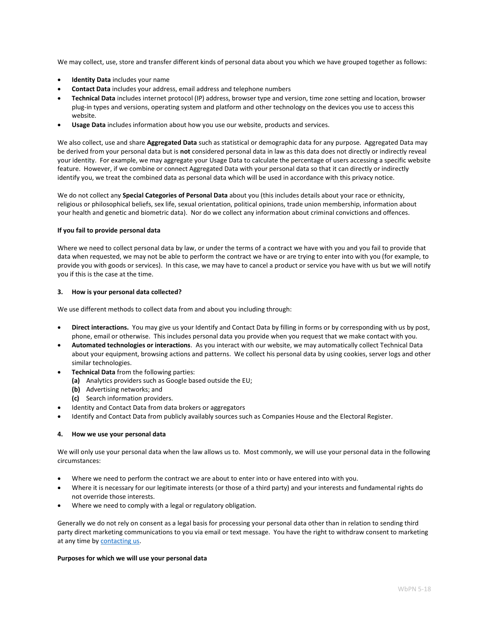We may collect, use, store and transfer different kinds of personal data about you which we have grouped together as follows:

- Identity Data includes your name
- Contact Data includes your address, email address and telephone numbers
- Technical Data includes internet protocol (IP) address, browser type and version, time zone setting and location, browser plug-in types and versions, operating system and platform and other technology on the devices you use to access this website.
- Usage Data includes information about how you use our website, products and services.

We also collect, use and share **Aggregated Data** such as statistical or demographic data for any purpose. Aggregated Data may be derived from your personal data but is not considered personal data in law as this data does not directly or indirectly reveal your identity. For example, we may aggregate your Usage Data to calculate the percentage of users accessing a specific website feature. However, if we combine or connect Aggregated Data with your personal data so that it can directly or indirectly identify you, we treat the combined data as personal data which will be used in accordance with this privacy notice.

We do not collect any Special Categories of Personal Data about you (this includes details about your race or ethnicity, religious or philosophical beliefs, sex life, sexual orientation, political opinions, trade union membership, information about your health and genetic and biometric data). Nor do we collect any information about criminal convictions and offences.

#### If you fail to provide personal data

Where we need to collect personal data by law, or under the terms of a contract we have with you and you fail to provide that data when requested, we may not be able to perform the contract we have or are trying to enter into with you (for example, to provide you with goods or services). In this case, we may have to cancel a product or service you have with us but we will notify you if this is the case at the time.

#### 3. How is your personal data collected?

We use different methods to collect data from and about you including through:

- Direct interactions. You may give us your Identify and Contact Data by filling in forms or by corresponding with us by post, phone, email or otherwise. This includes personal data you provide when you request that we make contact with you.
- Automated technologies or interactions. As you interact with our website, we may automatically collect Technical Data about your equipment, browsing actions and patterns. We collect his personal data by using cookies, server logs and other similar technologies.
- Technical Data from the following parties:
	- (a) Analytics providers such as Google based outside the EU;
	- (b) Advertising networks; and
	- (c) Search information providers.
- Identity and Contact Data from data brokers or aggregators
- Identify and Contact Data from publicly availably sources such as Companies House and the Electoral Register.

## 4. How we use your personal data

We will only use your personal data when the law allows us to. Most commonly, we will use your personal data in the following circumstances:

- Where we need to perform the contract we are about to enter into or have entered into with you.
- Where it is necessary for our legitimate interests (or those of a third party) and your interests and fundamental rights do not override those interests.
- Where we need to comply with a legal or regulatory obligation.

Generally we do not rely on consent as a legal basis for processing your personal data other than in relation to sending third party direct marketing communications to you via email or text message. You have the right to withdraw consent to marketing at any time by contacting us.

#### Purposes for which we will use your personal data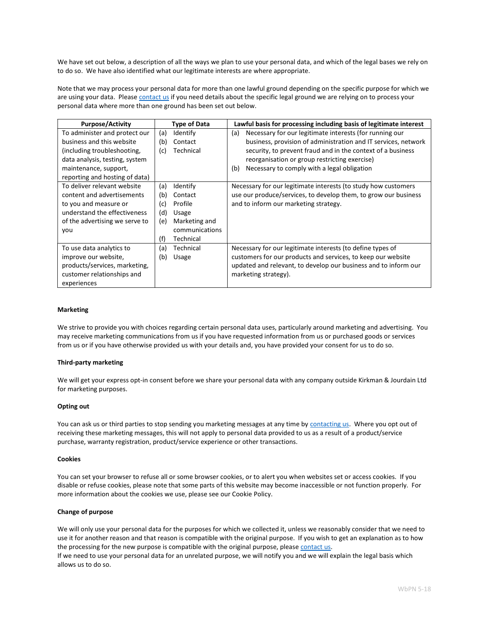We have set out below, a description of all the ways we plan to use your personal data, and which of the legal bases we rely on to do so. We have also identified what our legitimate interests are where appropriate.

Note that we may process your personal data for more than one lawful ground depending on the specific purpose for which we are using your data. Please contact us if you need details about the specific legal ground we are relying on to process your personal data where more than one ground has been set out below.

| <b>Purpose/Activity</b>                                                                                                                                                                | <b>Type of Data</b>                                                                                                               | Lawful basis for processing including basis of legitimate interest                                                                                                                                                                                                                                     |
|----------------------------------------------------------------------------------------------------------------------------------------------------------------------------------------|-----------------------------------------------------------------------------------------------------------------------------------|--------------------------------------------------------------------------------------------------------------------------------------------------------------------------------------------------------------------------------------------------------------------------------------------------------|
| To administer and protect our<br>business and this website<br>(including troubleshooting,<br>data analysis, testing, system<br>maintenance, support,<br>reporting and hosting of data) | (a)<br>Identify<br>(b)<br>Contact<br>Technical<br>(c)                                                                             | Necessary for our legitimate interests (for running our<br>(a)<br>business, provision of administration and IT services, network<br>security, to prevent fraud and in the context of a business<br>reorganisation or group restricting exercise)<br>Necessary to comply with a legal obligation<br>(b) |
| To deliver relevant website<br>content and advertisements<br>to you and measure or<br>understand the effectiveness<br>of the advertising we serve to<br>you                            | (a)<br>Identify<br>(b)<br>Contact<br>(c)<br>Profile<br>(d)<br>Usage<br>(e)<br>Marketing and<br>communications<br>Technical<br>(f) | Necessary for our legitimate interests (to study how customers<br>use our produce/services, to develop them, to grow our business<br>and to inform our marketing strategy.                                                                                                                             |
| To use data analytics to<br>improve our website,<br>products/services, marketing,<br>customer relationships and<br>experiences                                                         | Technical<br>(a)<br>Usage<br>(b)                                                                                                  | Necessary for our legitimate interests (to define types of<br>customers for our products and services, to keep our website<br>updated and relevant, to develop our business and to inform our<br>marketing strategy).                                                                                  |

#### Marketing

We strive to provide you with choices regarding certain personal data uses, particularly around marketing and advertising. You may receive marketing communications from us if you have requested information from us or purchased goods or services from us or if you have otherwise provided us with your details and, you have provided your consent for us to do so.

#### Third-party marketing

We will get your express opt-in consent before we share your personal data with any company outside Kirkman & Jourdain Ltd for marketing purposes.

#### Opting out

You can ask us or third parties to stop sending you marketing messages at any time by contacting us. Where you opt out of receiving these marketing messages, this will not apply to personal data provided to us as a result of a product/service purchase, warranty registration, product/service experience or other transactions.

#### Cookies

You can set your browser to refuse all or some browser cookies, or to alert you when websites set or access cookies. If you disable or refuse cookies, please note that some parts of this website may become inaccessible or not function properly. For more information about the cookies we use, please see our Cookie Policy.

#### Change of purpose

We will only use your personal data for the purposes for which we collected it, unless we reasonably consider that we need to use it for another reason and that reason is compatible with the original purpose. If you wish to get an explanation as to how the processing for the new purpose is compatible with the original purpose, please contact us.

If we need to use your personal data for an unrelated purpose, we will notify you and we will explain the legal basis which allows us to do so.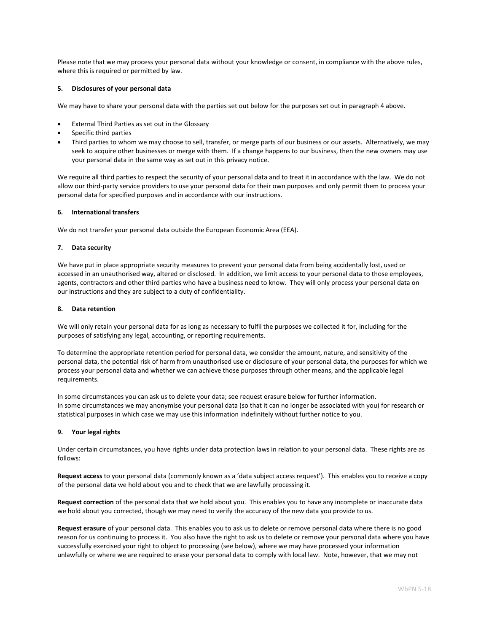Please note that we may process your personal data without your knowledge or consent, in compliance with the above rules, where this is required or permitted by law.

### 5. Disclosures of your personal data

We may have to share your personal data with the parties set out below for the purposes set out in paragraph 4 above.

- External Third Parties as set out in the Glossary
- Specific third parties
- Third parties to whom we may choose to sell, transfer, or merge parts of our business or our assets. Alternatively, we may seek to acquire other businesses or merge with them. If a change happens to our business, then the new owners may use your personal data in the same way as set out in this privacy notice.

We require all third parties to respect the security of your personal data and to treat it in accordance with the law. We do not allow our third-party service providers to use your personal data for their own purposes and only permit them to process your personal data for specified purposes and in accordance with our instructions.

#### 6. International transfers

We do not transfer your personal data outside the European Economic Area (EEA).

#### 7. Data security

We have put in place appropriate security measures to prevent your personal data from being accidentally lost, used or accessed in an unauthorised way, altered or disclosed. In addition, we limit access to your personal data to those employees, agents, contractors and other third parties who have a business need to know. They will only process your personal data on our instructions and they are subject to a duty of confidentiality.

## 8. Data retention

We will only retain your personal data for as long as necessary to fulfil the purposes we collected it for, including for the purposes of satisfying any legal, accounting, or reporting requirements.

To determine the appropriate retention period for personal data, we consider the amount, nature, and sensitivity of the personal data, the potential risk of harm from unauthorised use or disclosure of your personal data, the purposes for which we process your personal data and whether we can achieve those purposes through other means, and the applicable legal requirements.

In some circumstances you can ask us to delete your data; see request erasure below for further information. In some circumstances we may anonymise your personal data (so that it can no longer be associated with you) for research or statistical purposes in which case we may use this information indefinitely without further notice to you.

## 9. Your legal rights

Under certain circumstances, you have rights under data protection laws in relation to your personal data. These rights are as follows:

Request access to your personal data (commonly known as a 'data subject access request'). This enables you to receive a copy of the personal data we hold about you and to check that we are lawfully processing it.

Request correction of the personal data that we hold about you. This enables you to have any incomplete or inaccurate data we hold about you corrected, though we may need to verify the accuracy of the new data you provide to us.

Request erasure of your personal data. This enables you to ask us to delete or remove personal data where there is no good reason for us continuing to process it. You also have the right to ask us to delete or remove your personal data where you have successfully exercised your right to object to processing (see below), where we may have processed your information unlawfully or where we are required to erase your personal data to comply with local law. Note, however, that we may not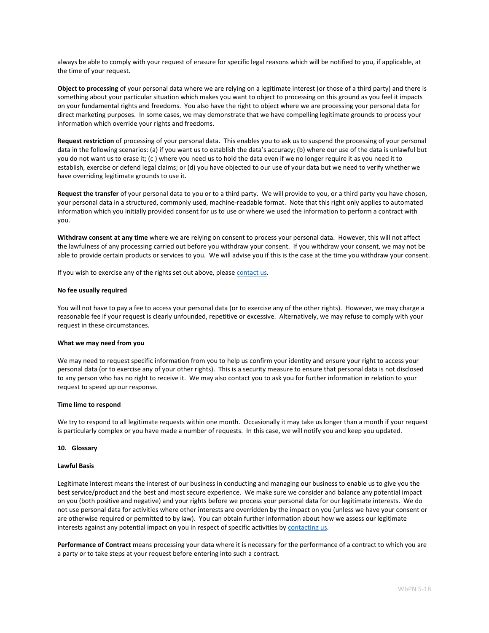always be able to comply with your request of erasure for specific legal reasons which will be notified to you, if applicable, at the time of your request.

Object to processing of your personal data where we are relying on a legitimate interest (or those of a third party) and there is something about your particular situation which makes you want to object to processing on this ground as you feel it impacts on your fundamental rights and freedoms. You also have the right to object where we are processing your personal data for direct marketing purposes. In some cases, we may demonstrate that we have compelling legitimate grounds to process your information which override your rights and freedoms.

Request restriction of processing of your personal data. This enables you to ask us to suspend the processing of your personal data in the following scenarios: (a) if you want us to establish the data's accuracy; (b) where our use of the data is unlawful but you do not want us to erase it; (c ) where you need us to hold the data even if we no longer require it as you need it to establish, exercise or defend legal claims; or (d) you have objected to our use of your data but we need to verify whether we have overriding legitimate grounds to use it.

Request the transfer of your personal data to you or to a third party. We will provide to you, or a third party you have chosen, your personal data in a structured, commonly used, machine-readable format. Note that this right only applies to automated information which you initially provided consent for us to use or where we used the information to perform a contract with you.

Withdraw consent at any time where we are relying on consent to process your personal data. However, this will not affect the lawfulness of any processing carried out before you withdraw your consent. If you withdraw your consent, we may not be able to provide certain products or services to you. We will advise you if this is the case at the time you withdraw your consent.

If you wish to exercise any of the rights set out above, please contact us.

#### No fee usually required

You will not have to pay a fee to access your personal data (or to exercise any of the other rights). However, we may charge a reasonable fee if your request is clearly unfounded, repetitive or excessive. Alternatively, we may refuse to comply with your request in these circumstances.

#### What we may need from you

We may need to request specific information from you to help us confirm your identity and ensure your right to access your personal data (or to exercise any of your other rights). This is a security measure to ensure that personal data is not disclosed to any person who has no right to receive it. We may also contact you to ask you for further information in relation to your request to speed up our response.

#### Time lime to respond

We try to respond to all legitimate requests within one month. Occasionally it may take us longer than a month if your request is particularly complex or you have made a number of requests. In this case, we will notify you and keep you updated.

#### 10. Glossary

#### Lawful Basis

Legitimate Interest means the interest of our business in conducting and managing our business to enable us to give you the best service/product and the best and most secure experience. We make sure we consider and balance any potential impact on you (both positive and negative) and your rights before we process your personal data for our legitimate interests. We do not use personal data for activities where other interests are overridden by the impact on you (unless we have your consent or are otherwise required or permitted to by law). You can obtain further information about how we assess our legitimate interests against any potential impact on you in respect of specific activities by contacting us.

Performance of Contract means processing your data where it is necessary for the performance of a contract to which you are a party or to take steps at your request before entering into such a contract.